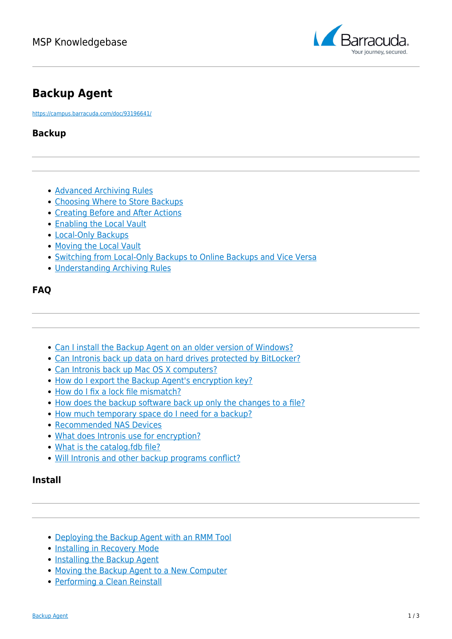

# **Backup Agent**

<https://campus.barracuda.com/doc/93196641/>

## **Backup**

- [Advanced Archiving Rules](http://campus.barracuda.com/doc/93197053/)
- [Choosing Where to Store Backups](http://campus.barracuda.com/doc/93196658/)
- [Creating Before and After Actions](http://campus.barracuda.com/doc/93197058/)
- [Enabling the Local Vault](http://campus.barracuda.com/doc/93197065/)
- [Local-Only Backups](http://campus.barracuda.com/doc/93197067/)
- [Moving the Local Vault](http://campus.barracuda.com/doc/93197069/)
- [Switching from Local-Only Backups to Online Backups and Vice Versa](http://campus.barracuda.com/doc/93197075/)
- [Understanding Archiving Rules](http://campus.barracuda.com/doc/93197080/)

### **FAQ**

- [Can I install the Backup Agent on an older version of Windows?](http://campus.barracuda.com/doc/93197084/)
- [Can Intronis back up data on hard drives protected by BitLocker?](http://campus.barracuda.com/doc/93197086/)
- [Can Intronis back up Mac OS X computers?](http://campus.barracuda.com/doc/93197088/)
- [How do I export the Backup Agent's encryption key?](http://campus.barracuda.com/doc/93197077/)
- [How do I fix a lock file mismatch?](http://campus.barracuda.com/doc/93197138/)
- [How does the backup software back up only the changes to a file?](http://campus.barracuda.com/doc/93197140/)
- [How much temporary space do I need for a backup?](http://campus.barracuda.com/doc/93197142/)
- [Recommended NAS Devices](http://campus.barracuda.com/doc/93197144/)
- [What does Intronis use for encryption?](http://campus.barracuda.com/doc/93197146/)
- [What is the catalog.fdb file?](http://campus.barracuda.com/doc/93197148/)
- [Will Intronis and other backup programs conflict?](http://campus.barracuda.com/doc/93197165/)

#### **Install**

- [Deploying the Backup Agent with an RMM Tool](http://campus.barracuda.com/doc/93197167/)
- [Installing in Recovery Mode](http://campus.barracuda.com/doc/93197169/)
- [Installing the Backup Agent](http://campus.barracuda.com/doc/93197171/)
- [Moving the Backup Agent to a New Computer](http://campus.barracuda.com/doc/93197173/)
- [Performing a Clean Reinstall](http://campus.barracuda.com/doc/93197072/)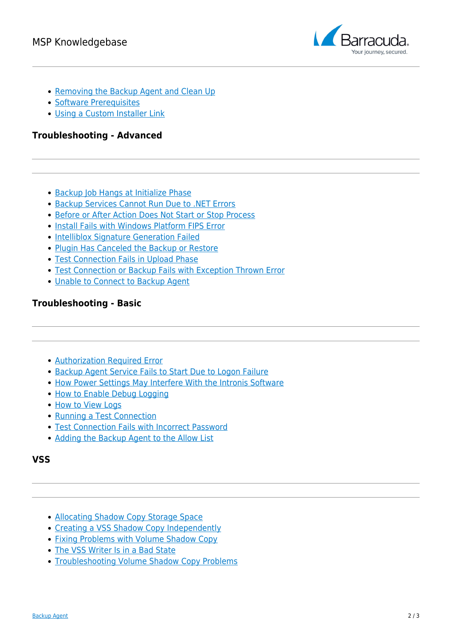

- [Removing the Backup Agent and Clean Up](http://campus.barracuda.com/doc/93197175/)
- [Software Prerequisites](http://campus.barracuda.com/doc/93197177/)
- [Using a Custom Installer Link](http://campus.barracuda.com/doc/93197179/)

#### **Troubleshooting - Advanced**

- [Backup Job Hangs at Initialize Phase](http://campus.barracuda.com/doc/93197186/)
- [Backup Services Cannot Run Due to .NET Errors](http://campus.barracuda.com/doc/93197223/)
- [Before or After Action Does Not Start or Stop Process](http://campus.barracuda.com/doc/93197233/)
- [Install Fails with Windows Platform FIPS Error](http://campus.barracuda.com/doc/93197238/)
- [Intelliblox Signature Generation Failed](http://campus.barracuda.com/doc/93197240/)
- [Plugin Has Canceled the Backup or Restore](http://campus.barracuda.com/doc/93197245/)
- [Test Connection Fails in Upload Phase](http://campus.barracuda.com/doc/93197213/)
- [Test Connection or Backup Fails with Exception Thrown Error](http://campus.barracuda.com/doc/93197220/)
- [Unable to Connect to Backup Agent](http://campus.barracuda.com/doc/93197258/)

#### **Troubleshooting - Basic**

- [Authorization Required Error](http://campus.barracuda.com/doc/93197261/)
- [Backup Agent Service Fails to Start Due to Logon Failure](http://campus.barracuda.com/doc/93197267/)
- [How Power Settings May Interfere With the Intronis Software](http://campus.barracuda.com/doc/93197270/)
- [How to Enable Debug Logging](http://campus.barracuda.com/doc/93197273/)
- [How to View Logs](http://campus.barracuda.com/doc/93197247/)
- [Running a Test Connection](http://campus.barracuda.com/doc/93197190/)
- [Test Connection Fails with Incorrect Password](http://campus.barracuda.com/doc/93197192/)
- [Adding the Backup Agent to the Allow List](http://campus.barracuda.com/doc/93197215/)

#### **VSS**

- [Allocating Shadow Copy Storage Space](http://campus.barracuda.com/doc/93197242/)
- [Creating a VSS Shadow Copy Independently](http://campus.barracuda.com/doc/93197278/)
- [Fixing Problems with Volume Shadow Copy](http://campus.barracuda.com/doc/93197280/)
- [The VSS Writer Is in a Bad State](http://campus.barracuda.com/doc/93197282/)
- [Troubleshooting Volume Shadow Copy Problems](http://campus.barracuda.com/doc/93197285/)